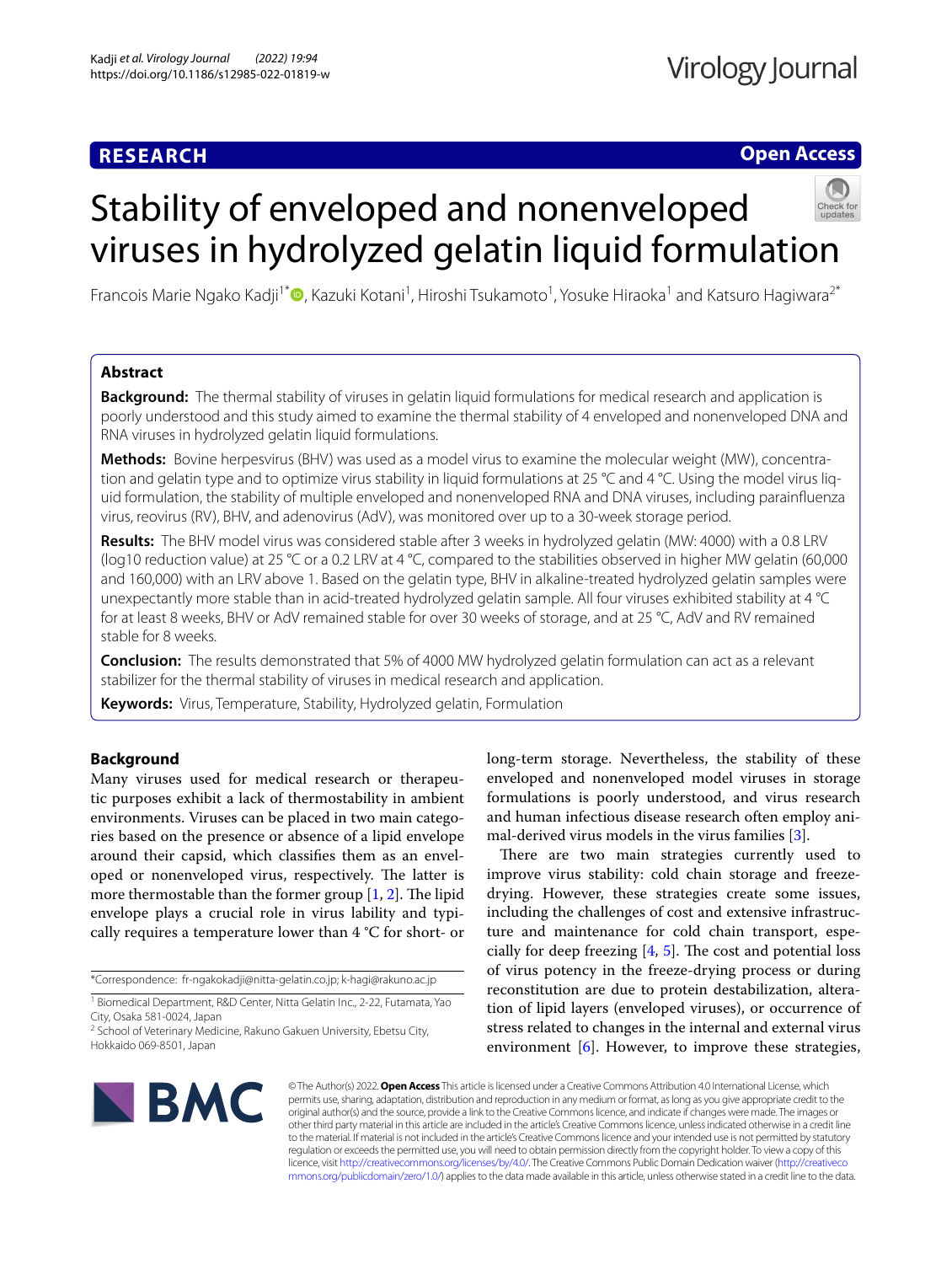# **RESEARCH**

## **Open Access**

# Stability of enveloped and nonenveloped viruses in hydrolyzed gelatin liquid formulation



Francois Marie Ngako Kadji<sup>1\*</sup>®[,](http://orcid.org/0000-0002-9187-4584) Kazuki Kotani<sup>1</sup>, Hiroshi Tsukamoto<sup>1</sup>, Yosuke Hiraoka<sup>1</sup> and Katsuro Hagiwara<sup>2\*</sup>

## **Abstract**

**Background:** The thermal stability of viruses in gelatin liquid formulations for medical research and application is poorly understood and this study aimed to examine the thermal stability of 4 enveloped and nonenveloped DNA and RNA viruses in hydrolyzed gelatin liquid formulations.

**Methods:** Bovine herpesvirus (BHV) was used as a model virus to examine the molecular weight (MW), concentration and gelatin type and to optimize virus stability in liquid formulations at 25 °C and 4 °C. Using the model virus liquid formulation, the stability of multiple enveloped and nonenveloped RNA and DNA viruses, including parainfuenza virus, reovirus (RV), BHV, and adenovirus (AdV), was monitored over up to a 30-week storage period.

**Results:** The BHV model virus was considered stable after 3 weeks in hydrolyzed gelatin (MW: 4000) with a 0.8 LRV (log10 reduction value) at 25 °C or a 0.2 LRV at 4 °C, compared to the stabilities observed in higher MW gelatin (60,000 and 160,000) with an LRV above 1. Based on the gelatin type, BHV in alkaline-treated hydrolyzed gelatin samples were unexpectantly more stable than in acid-treated hydrolyzed gelatin sample. All four viruses exhibited stability at 4 °C for at least 8 weeks, BHV or AdV remained stable for over 30 weeks of storage, and at 25 °C, AdV and RV remained stable for 8 weeks.

**Conclusion:** The results demonstrated that 5% of 4000 MW hydrolyzed gelatin formulation can act as a relevant stabilizer for the thermal stability of viruses in medical research and application.

**Keywords:** Virus, Temperature, Stability, Hydrolyzed gelatin, Formulation

## **Background**

Many viruses used for medical research or therapeutic purposes exhibit a lack of thermostability in ambient environments. Viruses can be placed in two main categories based on the presence or absence of a lipid envelope around their capsid, which classifes them as an enveloped or nonenveloped virus, respectively. The latter is more thermostable than the former group  $[1, 2]$  $[1, 2]$  $[1, 2]$ . The lipid envelope plays a crucial role in virus lability and typically requires a temperature lower than 4 °C for short- or

\*Correspondence: fr-ngakokadji@nitta-gelatin.co.jp; k-hagi@rakuno.ac.jp

long-term storage. Nevertheless, the stability of these enveloped and nonenveloped model viruses in storage formulations is poorly understood, and virus research and human infectious disease research often employ animal-derived virus models in the virus families [[3\]](#page-6-2).

There are two main strategies currently used to improve virus stability: cold chain storage and freezedrying. However, these strategies create some issues, including the challenges of cost and extensive infrastructure and maintenance for cold chain transport, especially for deep freezing  $[4, 5]$  $[4, 5]$  $[4, 5]$  $[4, 5]$ . The cost and potential loss of virus potency in the freeze-drying process or during reconstitution are due to protein destabilization, alteration of lipid layers (enveloped viruses), or occurrence of stress related to changes in the internal and external virus environment [[6\]](#page-6-5). However, to improve these strategies,



© The Author(s) 2022. **Open Access** This article is licensed under a Creative Commons Attribution 4.0 International License, which permits use, sharing, adaptation, distribution and reproduction in any medium or format, as long as you give appropriate credit to the original author(s) and the source, provide a link to the Creative Commons licence, and indicate if changes were made. The images or other third party material in this article are included in the article's Creative Commons licence, unless indicated otherwise in a credit line to the material. If material is not included in the article's Creative Commons licence and your intended use is not permitted by statutory regulation or exceeds the permitted use, you will need to obtain permission directly from the copyright holder. To view a copy of this licence, visit [http://creativecommons.org/licenses/by/4.0/.](http://creativecommons.org/licenses/by/4.0/) The Creative Commons Public Domain Dedication waiver ([http://creativeco](http://creativecommons.org/publicdomain/zero/1.0/) [mmons.org/publicdomain/zero/1.0/](http://creativecommons.org/publicdomain/zero/1.0/)) applies to the data made available in this article, unless otherwise stated in a credit line to the data.

<sup>&</sup>lt;sup>1</sup> Biomedical Department, R&D Center, Nitta Gelatin Inc., 2-22, Futamata, Yao City, Osaka 581-0024, Japan

<sup>&</sup>lt;sup>2</sup> School of Veterinary Medicine, Rakuno Gakuen University, Ebetsu City, Hokkaido 069-8501, Japan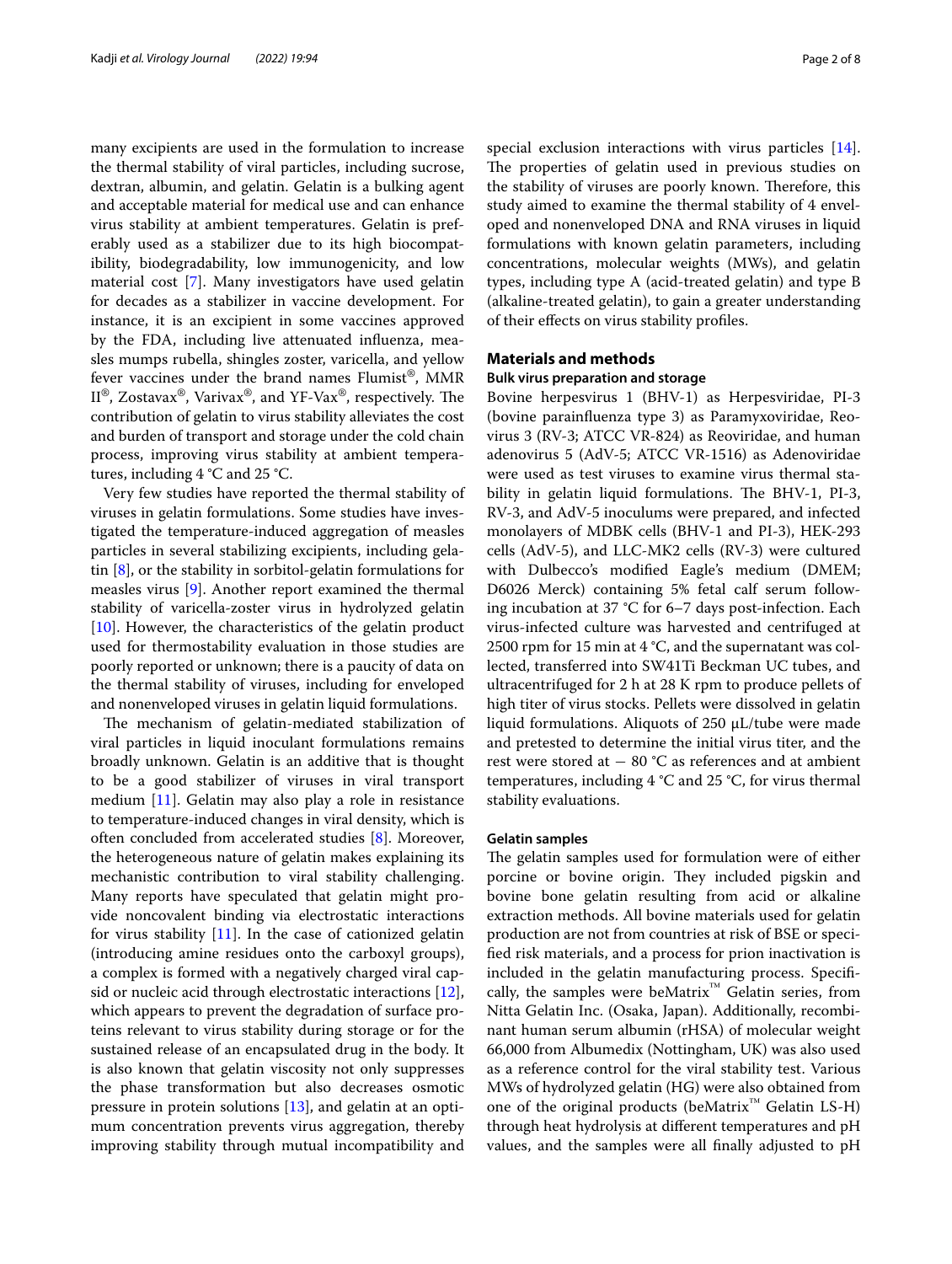many excipients are used in the formulation to increase the thermal stability of viral particles, including sucrose, dextran, albumin, and gelatin. Gelatin is a bulking agent and acceptable material for medical use and can enhance virus stability at ambient temperatures. Gelatin is preferably used as a stabilizer due to its high biocompatibility, biodegradability, low immunogenicity, and low material cost [[7\]](#page-6-6). Many investigators have used gelatin for decades as a stabilizer in vaccine development. For instance, it is an excipient in some vaccines approved by the FDA, including live attenuated infuenza, measles mumps rubella, shingles zoster, varicella, and yellow fever vaccines under the brand names Flumist®, MMR  $II^{\circledast}$ , Zostavax<sup>®</sup>, Varivax<sup>®</sup>, and YF-Vax<sup>®</sup>, respectively. The contribution of gelatin to virus stability alleviates the cost and burden of transport and storage under the cold chain process, improving virus stability at ambient temperatures, including 4 °C and 25 °C.

Very few studies have reported the thermal stability of viruses in gelatin formulations. Some studies have investigated the temperature-induced aggregation of measles particles in several stabilizing excipients, including gelatin [[8\]](#page-6-7), or the stability in sorbitol-gelatin formulations for measles virus [[9\]](#page-6-8). Another report examined the thermal stability of varicella-zoster virus in hydrolyzed gelatin [[10\]](#page-6-9). However, the characteristics of the gelatin product used for thermostability evaluation in those studies are poorly reported or unknown; there is a paucity of data on the thermal stability of viruses, including for enveloped and nonenveloped viruses in gelatin liquid formulations.

The mechanism of gelatin-mediated stabilization of viral particles in liquid inoculant formulations remains broadly unknown. Gelatin is an additive that is thought to be a good stabilizer of viruses in viral transport medium [[11\]](#page-6-10). Gelatin may also play a role in resistance to temperature-induced changes in viral density, which is often concluded from accelerated studies [[8\]](#page-6-7). Moreover, the heterogeneous nature of gelatin makes explaining its mechanistic contribution to viral stability challenging. Many reports have speculated that gelatin might provide noncovalent binding via electrostatic interactions for virus stability [[11](#page-6-10)]. In the case of cationized gelatin (introducing amine residues onto the carboxyl groups), a complex is formed with a negatively charged viral capsid or nucleic acid through electrostatic interactions [\[12](#page-6-11)], which appears to prevent the degradation of surface proteins relevant to virus stability during storage or for the sustained release of an encapsulated drug in the body. It is also known that gelatin viscosity not only suppresses the phase transformation but also decreases osmotic pressure in protein solutions [[13\]](#page-6-12), and gelatin at an optimum concentration prevents virus aggregation, thereby improving stability through mutual incompatibility and

special exclusion interactions with virus particles [\[14](#page-6-13)]. The properties of gelatin used in previous studies on the stability of viruses are poorly known. Therefore, this study aimed to examine the thermal stability of 4 enveloped and nonenveloped DNA and RNA viruses in liquid formulations with known gelatin parameters, including concentrations, molecular weights (MWs), and gelatin types, including type A (acid-treated gelatin) and type B (alkaline-treated gelatin), to gain a greater understanding of their efects on virus stability profles.

## **Materials and methods**

## **Bulk virus preparation and storage**

Bovine herpesvirus 1 (BHV-1) as Herpesviridae, PI-3 (bovine parainfuenza type 3) as Paramyxoviridae, Reovirus 3 (RV-3; ATCC VR-824) as Reoviridae, and human adenovirus 5 (AdV-5; ATCC VR-1516) as Adenoviridae were used as test viruses to examine virus thermal stability in gelatin liquid formulations. The BHV-1, PI-3, RV-3, and AdV-5 inoculums were prepared, and infected monolayers of MDBK cells (BHV-1 and PI-3), HEK-293 cells (AdV-5), and LLC-MK2 cells (RV-3) were cultured with Dulbecco's modifed Eagle's medium (DMEM; D6026 Merck) containing 5% fetal calf serum following incubation at 37 °C for 6–7 days post-infection. Each virus-infected culture was harvested and centrifuged at 2500 rpm for 15 min at 4 °C, and the supernatant was collected, transferred into SW41Ti Beckman UC tubes, and ultracentrifuged for 2 h at 28 K rpm to produce pellets of high titer of virus stocks. Pellets were dissolved in gelatin liquid formulations. Aliquots of 250 µL/tube were made and pretested to determine the initial virus titer, and the rest were stored at − 80 °C as references and at ambient temperatures, including 4 °C and 25 °C, for virus thermal stability evaluations.

## **Gelatin samples**

The gelatin samples used for formulation were of either porcine or bovine origin. They included pigskin and bovine bone gelatin resulting from acid or alkaline extraction methods. All bovine materials used for gelatin production are not from countries at risk of BSE or specifed risk materials, and a process for prion inactivation is included in the gelatin manufacturing process. Specifcally, the samples were beMatrix<sup>™</sup> Gelatin series, from Nitta Gelatin Inc. (Osaka, Japan). Additionally, recombinant human serum albumin (rHSA) of molecular weight 66,000 from Albumedix (Nottingham, UK) was also used as a reference control for the viral stability test. Various MWs of hydrolyzed gelatin (HG) were also obtained from one of the original products (beMatrix<sup>™</sup> Gelatin  $LS-H$ ) through heat hydrolysis at diferent temperatures and pH values, and the samples were all fnally adjusted to pH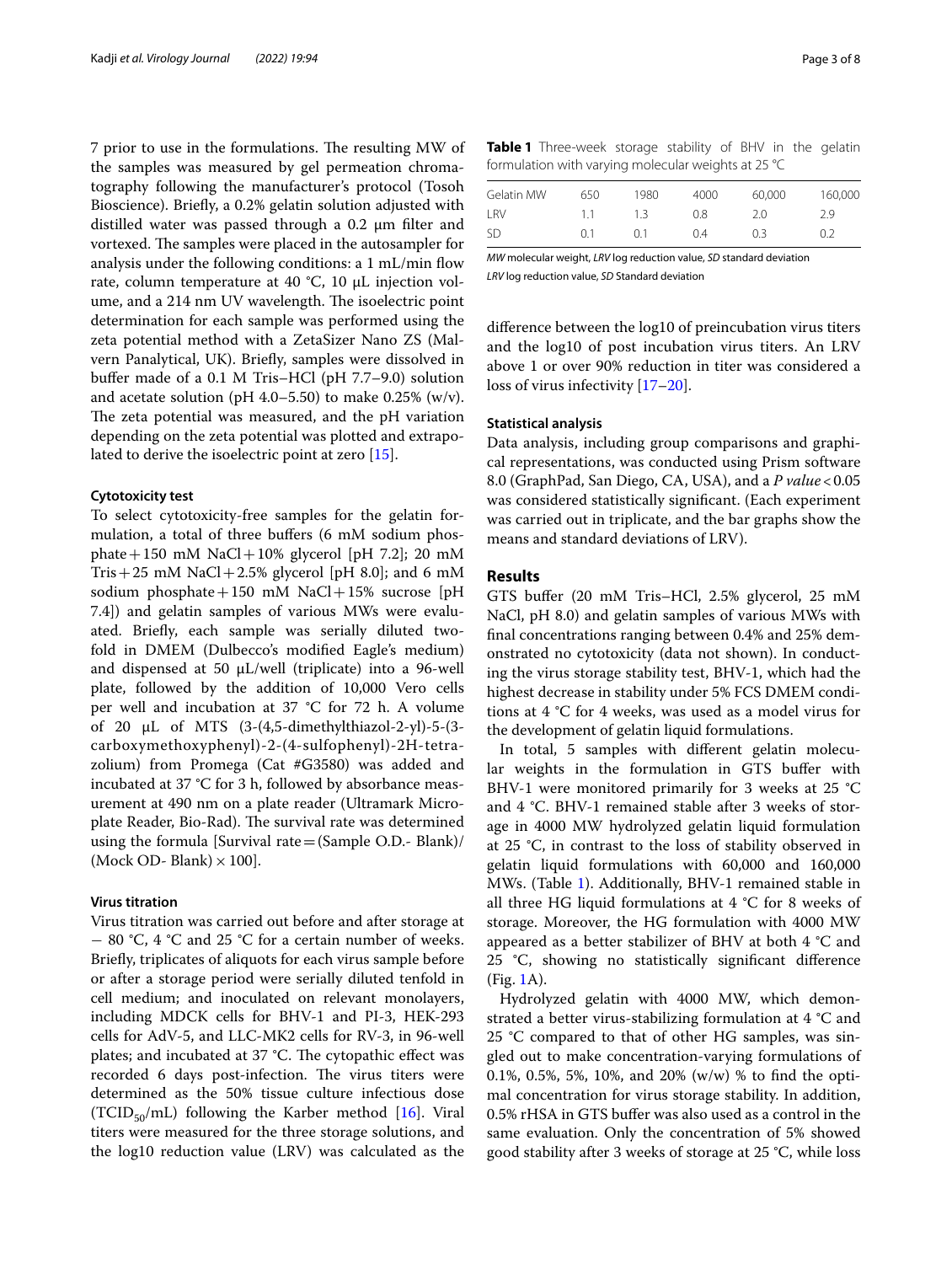7 prior to use in the formulations. The resulting MW of the samples was measured by gel permeation chromatography following the manufacturer's protocol (Tosoh Bioscience). Briefy, a 0.2% gelatin solution adjusted with distilled water was passed through a  $0.2 \mu m$  filter and vortexed. The samples were placed in the autosampler for analysis under the following conditions: a 1 mL/min fow rate, column temperature at 40 °C, 10 µL injection volume, and a 214 nm UV wavelength. The isoelectric point determination for each sample was performed using the zeta potential method with a ZetaSizer Nano ZS (Malvern Panalytical, UK). Briefy, samples were dissolved in bufer made of a 0.1 M Tris–HCl (pH 7.7–9.0) solution and acetate solution (pH 4.0–5.50) to make  $0.25\%$  (w/v). The zeta potential was measured, and the pH variation depending on the zeta potential was plotted and extrapolated to derive the isoelectric point at zero [\[15\]](#page-6-14).

#### **Cytotoxicity test**

To select cytotoxicity-free samples for the gelatin formulation, a total of three buffers (6 mM sodium phosphate + 150 mM NaCl + 10% glycerol [pH 7.2]; 20 mM Tris + 25 mM NaCl + 2.5% glycerol [pH 8.0]; and 6 mM sodium phosphate + 150 mM NaCl + 15% sucrose [pH 7.4]) and gelatin samples of various MWs were evaluated. Briefy, each sample was serially diluted twofold in DMEM (Dulbecco's modifed Eagle's medium) and dispensed at 50  $\mu$ L/well (triplicate) into a 96-well plate, followed by the addition of 10,000 Vero cells per well and incubation at 37 °C for 72 h. A volume of 20 µL of MTS (3-(4,5-dimethylthiazol-2-yl)-5-(3 carboxymethoxyphenyl)-2-(4-sulfophenyl)-2H-tetrazolium) from Promega (Cat #G3580) was added and incubated at 37 °C for 3 h, followed by absorbance measurement at 490 nm on a plate reader (Ultramark Microplate Reader, Bio-Rad). The survival rate was determined using the formula [Survival rate  $=$  (Sample O.D.- Blank)/ (Mock OD- Blank)  $\times$  100].

## **Virus titration**

Virus titration was carried out before and after storage at − 80 °C, 4 °C and 25 °C for a certain number of weeks. Briefy, triplicates of aliquots for each virus sample before or after a storage period were serially diluted tenfold in cell medium; and inoculated on relevant monolayers, including MDCK cells for BHV-1 and PI-3, HEK-293 cells for AdV-5, and LLC-MK2 cells for RV-3, in 96-well plates; and incubated at 37 °C. The cytopathic effect was recorded 6 days post-infection. The virus titers were determined as the 50% tissue culture infectious dose (TCID<sub>50</sub>/mL) following the Karber method [[16](#page-6-15)]. Viral titers were measured for the three storage solutions, and the log10 reduction value (LRV) was calculated as the

<span id="page-2-0"></span>

| <b>Table 1</b> Three-week storage stability of BHV in the gelatin |  |  |  |  |
|-------------------------------------------------------------------|--|--|--|--|
| formulation with varying molecular weights at 25 °C               |  |  |  |  |

| Gelatin MW | 650 | 1980 | 4000 | 60,000 | 160,000 |
|------------|-----|------|------|--------|---------|
| LRV        | 1.1 | 1.3  | 0.8  | 2.0    | 2.9     |
| SD         | 0.1 | O 1  | 0.4  | 0.3    | 0.2     |

*MW* molecular weight, *LRV* log reduction value, *SD* standard deviation *LRV* log reduction value, *SD* Standard deviation

diference between the log10 of preincubation virus titers and the log10 of post incubation virus titers. An LRV above 1 or over 90% reduction in titer was considered a loss of virus infectivity [[17–](#page-6-16)[20](#page-6-17)].

## **Statistical analysis**

Data analysis, including group comparisons and graphical representations, was conducted using Prism software 8.0 (GraphPad, San Diego, CA, USA), and a *P value*<0.05 was considered statistically signifcant. (Each experiment was carried out in triplicate, and the bar graphs show the means and standard deviations of LRV).

## **Results**

GTS bufer (20 mM Tris–HCl, 2.5% glycerol, 25 mM NaCl, pH 8.0) and gelatin samples of various MWs with fnal concentrations ranging between 0.4% and 25% demonstrated no cytotoxicity (data not shown). In conducting the virus storage stability test, BHV-1, which had the highest decrease in stability under 5% FCS DMEM conditions at 4 °C for 4 weeks, was used as a model virus for the development of gelatin liquid formulations.

In total, 5 samples with diferent gelatin molecular weights in the formulation in GTS bufer with BHV-1 were monitored primarily for 3 weeks at 25 °C and 4 °C. BHV-1 remained stable after 3 weeks of storage in 4000 MW hydrolyzed gelatin liquid formulation at 25 °C, in contrast to the loss of stability observed in gelatin liquid formulations with 60,000 and 160,000 MWs. (Table [1](#page-2-0)). Additionally, BHV-1 remained stable in all three HG liquid formulations at  $4 °C$  for 8 weeks of storage. Moreover, the HG formulation with 4000 MW appeared as a better stabilizer of BHV at both 4 °C and 25 °C, showing no statistically signifcant diference (Fig. [1A](#page-3-0)).

Hydrolyzed gelatin with 4000 MW, which demonstrated a better virus-stabilizing formulation at 4 °C and 25 °C compared to that of other HG samples, was singled out to make concentration-varying formulations of 0.1%, 0.5%, 5%, 10%, and 20% (w/w) % to fnd the optimal concentration for virus storage stability. In addition, 0.5% rHSA in GTS bufer was also used as a control in the same evaluation. Only the concentration of 5% showed good stability after 3 weeks of storage at 25 °C, while loss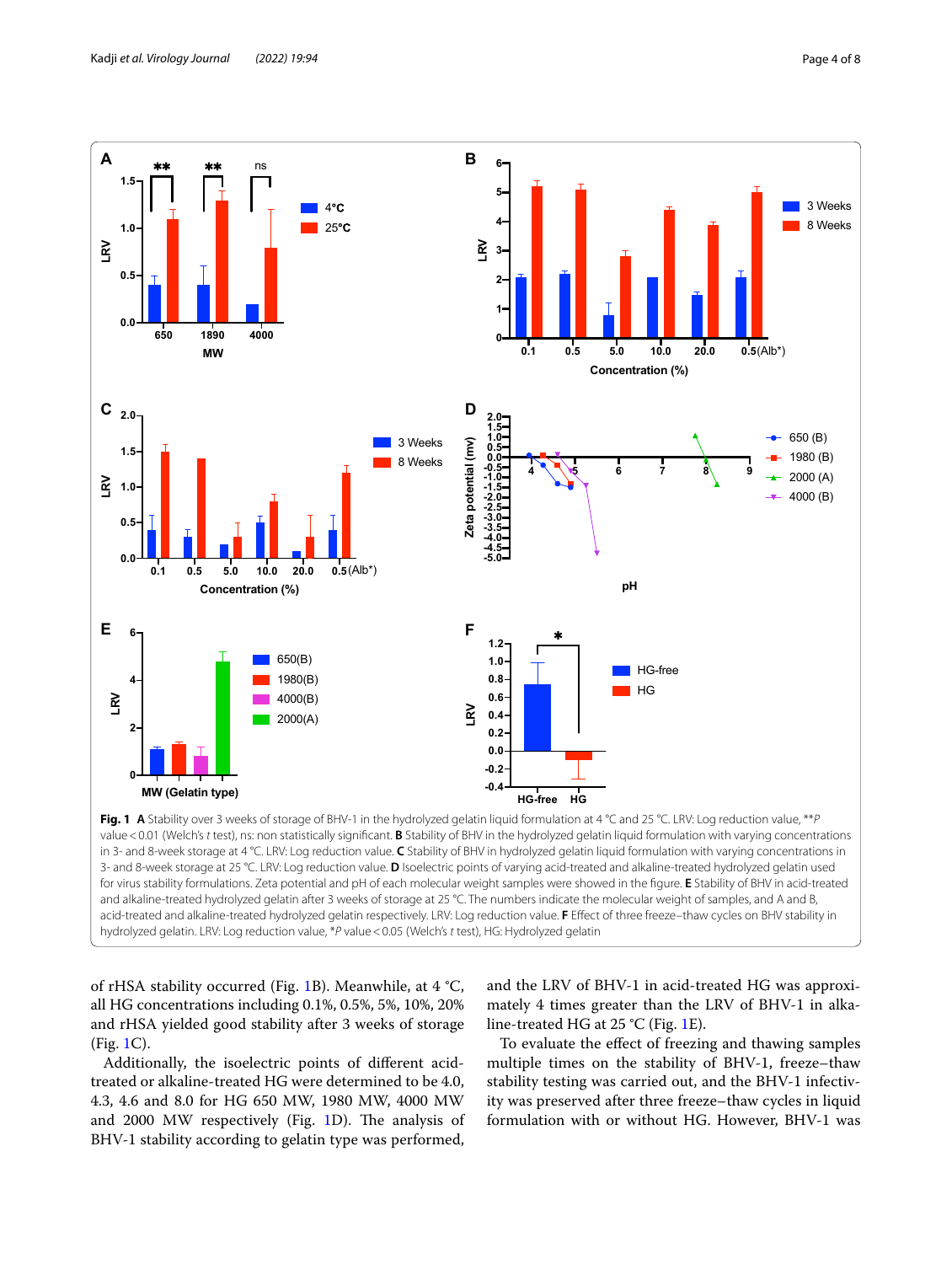

<span id="page-3-0"></span>**Fig. 1 A** Stability over 3 weeks of storage of BHV-1 in the hydrolyzed gelatin liquid formulation at 4 °C and 25 °C. LRV: Log reduction value, \*\**P* value<0.01 (Welch's *t* test), ns: non statistically signifcant. **B** Stability of BHV in the hydrolyzed gelatin liquid formulation with varying concentrations in 3- and 8-week storage at 4 °C. LRV: Log reduction value. **C** Stability of BHV in hydrolyzed gelatin liquid formulation with varying concentrations in 3- and 8-week storage at 25 °C. LRV: Log reduction value. **D** Isoelectric points of varying acid-treated and alkaline-treated hydrolyzed gelatin used for virus stability formulations. Zeta potential and pH of each molecular weight samples were showed in the fgure. **E** Stability of BHV in acid-treated and alkaline-treated hydrolyzed gelatin after 3 weeks of storage at 25 °C. The numbers indicate the molecular weight of samples, and A and B, acid-treated and alkaline-treated hydrolyzed gelatin respectively. LRV: Log reduction value. F Effect of three freeze-thaw cycles on BHV stability in hydrolyzed gelatin. LRV: Log reduction value, \**P* value<0.05 (Welch's *t* test), HG: Hydrolyzed gelatin

of rHSA stability occurred (Fig. [1](#page-3-0)B). Meanwhile, at 4 °C, all HG concentrations including 0.1%, 0.5%, 5%, 10%, 20% and rHSA yielded good stability after 3 weeks of storage (Fig. [1C](#page-3-0)).

Additionally, the isoelectric points of diferent acidtreated or alkaline-treated HG were determined to be 4.0, 4.3, 4.6 and 8.0 for HG 650 MW, 1980 MW, 4000 MW and 2000 MW respectively (Fig. [1](#page-3-0)D). The analysis of BHV-1 stability according to gelatin type was performed,

and the LRV of BHV-1 in acid-treated HG was approximately 4 times greater than the LRV of BHV-1 in alkaline-treated HG at 25 °C (Fig. [1](#page-3-0)E).

To evaluate the efect of freezing and thawing samples multiple times on the stability of BHV-1, freeze–thaw stability testing was carried out, and the BHV-1 infectivity was preserved after three freeze–thaw cycles in liquid formulation with or without HG. However, BHV-1 was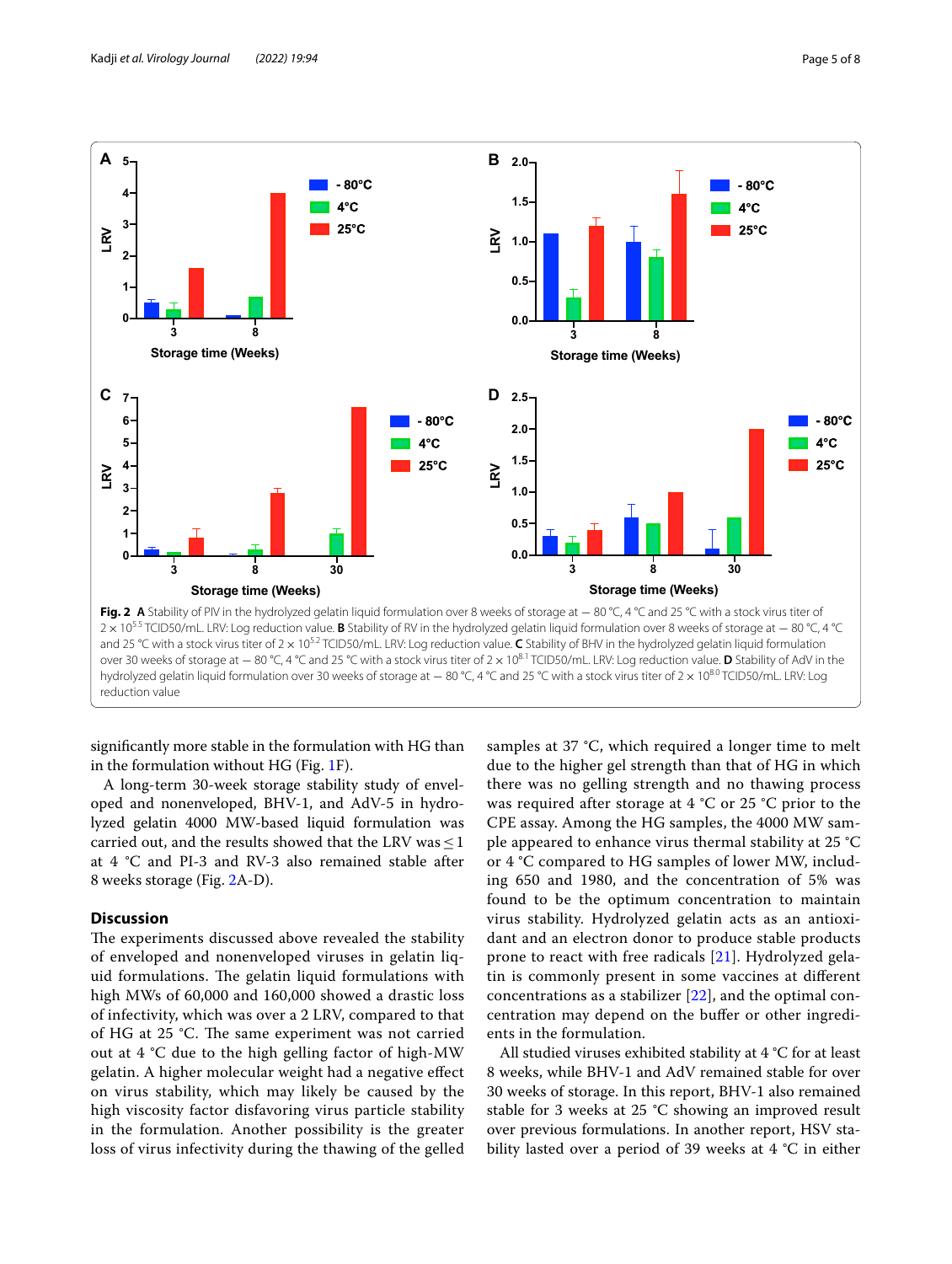

<span id="page-4-0"></span>**Fig. 2** A Stability of PIV in the hydrolyzed gelatin liquid formulation over 8 weeks of storage at − 80 °C, 4 °C and 25 °C with a stock virus titer of <sup>2</sup>× 105.5 TCID50/mL. LRV: Log reduction value. **B** Stability of RV in the hydrolyzed gelatin liquid formulation over 8 weeks of storage at <sup>−</sup> <sup>80</sup> °C, 4 °C and 25 °C with a stock virus titer of  $2 \times 10^{52}$  TCID50/mL. LRV: Log reduction value. C Stability of BHV in the hydrolyzed gelatin liquid formulation over 30 weeks of storage at <sup>−</sup> <sup>80</sup> °C, 4 °C and 25 °C with a stock virus titer of 2× 108.1 TCID50/mL. LRV: Log reduction value. **D** Stability of AdV in the hydrolyzed gelatin liquid formulation over 30 weeks of storage at − 80 °C, 4 °C and 25 °C with a stock virus titer of 2 × 10<sup>8.0</sup> TCID50/mL. LRV: Log reduction value

signifcantly more stable in the formulation with HG than in the formulation without HG (Fig. [1](#page-3-0)F).

A long-term 30-week storage stability study of enveloped and nonenveloped, BHV-1, and AdV-5 in hydrolyzed gelatin 4000 MW-based liquid formulation was carried out, and the results showed that the LRV was  $\leq$  1 at 4 °C and PI-3 and RV-3 also remained stable after 8 weeks storage (Fig. [2](#page-4-0)A-D).

## **Discussion**

The experiments discussed above revealed the stability of enveloped and nonenveloped viruses in gelatin liquid formulations. The gelatin liquid formulations with high MWs of 60,000 and 160,000 showed a drastic loss of infectivity, which was over a 2 LRV, compared to that of HG at 25 °C. The same experiment was not carried out at 4 °C due to the high gelling factor of high-MW gelatin. A higher molecular weight had a negative efect on virus stability, which may likely be caused by the high viscosity factor disfavoring virus particle stability in the formulation. Another possibility is the greater loss of virus infectivity during the thawing of the gelled samples at 37 °C, which required a longer time to melt due to the higher gel strength than that of HG in which there was no gelling strength and no thawing process was required after storage at 4 °C or 25 °C prior to the CPE assay. Among the HG samples, the 4000 MW sample appeared to enhance virus thermal stability at 25 °C or 4 °C compared to HG samples of lower MW, including 650 and 1980, and the concentration of 5% was found to be the optimum concentration to maintain virus stability. Hydrolyzed gelatin acts as an antioxidant and an electron donor to produce stable products prone to react with free radicals [[21\]](#page-6-18). Hydrolyzed gelatin is commonly present in some vaccines at diferent concentrations as a stabilizer [\[22\]](#page-6-19), and the optimal concentration may depend on the bufer or other ingredients in the formulation.

All studied viruses exhibited stability at 4 °C for at least 8 weeks, while BHV-1 and AdV remained stable for over 30 weeks of storage. In this report, BHV-1 also remained stable for 3 weeks at 25 °C showing an improved result over previous formulations. In another report, HSV stability lasted over a period of 39 weeks at 4 °C in either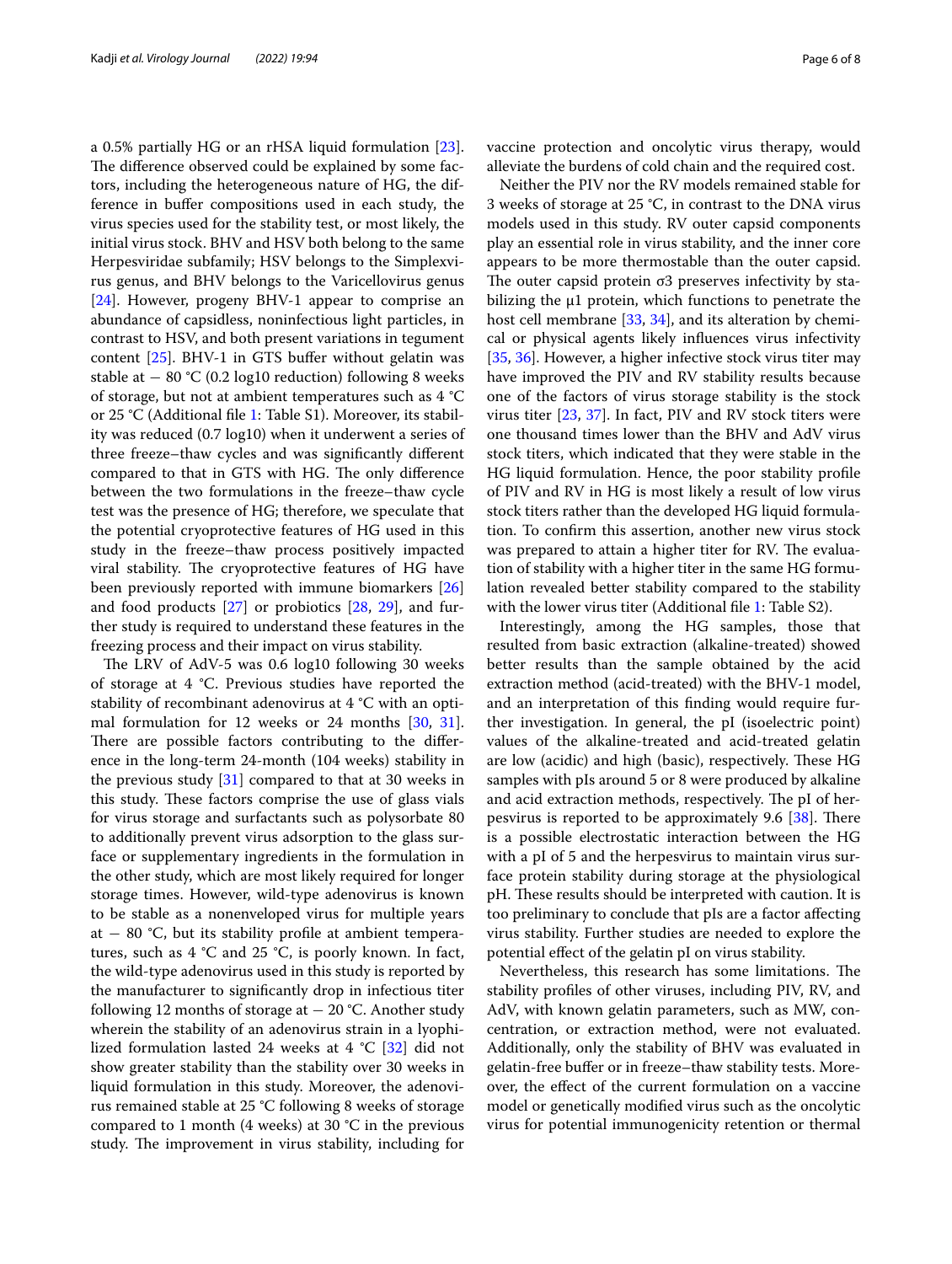a 0.5% partially HG or an rHSA liquid formulation [\[23](#page-6-20)]. The difference observed could be explained by some factors, including the heterogeneous nature of HG, the difference in bufer compositions used in each study, the virus species used for the stability test, or most likely, the initial virus stock. BHV and HSV both belong to the same Herpesviridae subfamily; HSV belongs to the Simplexvirus genus, and BHV belongs to the Varicellovirus genus [[24\]](#page-7-0). However, progeny BHV-1 appear to comprise an abundance of capsidless, noninfectious light particles, in contrast to HSV, and both present variations in tegument content  $[25]$  $[25]$ . BHV-1 in GTS buffer without gelatin was stable at  $-$  80 °C (0.2 log10 reduction) following 8 weeks of storage, but not at ambient temperatures such as 4 °C or 25 °C (Additional fle [1](#page-6-21): Table S1). Moreover, its stability was reduced (0.7 log10) when it underwent a series of three freeze–thaw cycles and was signifcantly diferent compared to that in GTS with HG. The only difference between the two formulations in the freeze–thaw cycle test was the presence of HG; therefore, we speculate that the potential cryoprotective features of HG used in this study in the freeze–thaw process positively impacted viral stability. The cryoprotective features of HG have been previously reported with immune biomarkers [[26](#page-7-2)] and food products [\[27](#page-7-3)] or probiotics [[28](#page-7-4), [29](#page-7-5)], and further study is required to understand these features in the freezing process and their impact on virus stability.

The LRV of AdV-5 was  $0.6 \text{ log}10$  following 30 weeks of storage at 4 °C. Previous studies have reported the stability of recombinant adenovirus at 4 °C with an optimal formulation for 12 weeks or 24 months [\[30](#page-7-6), [31](#page-7-7)]. There are possible factors contributing to the difference in the long-term 24-month (104 weeks) stability in the previous study  $[31]$  $[31]$  $[31]$  compared to that at 30 weeks in this study. These factors comprise the use of glass vials for virus storage and surfactants such as polysorbate 80 to additionally prevent virus adsorption to the glass surface or supplementary ingredients in the formulation in the other study, which are most likely required for longer storage times. However, wild-type adenovirus is known to be stable as a nonenveloped virus for multiple years at  $-$  80 °C, but its stability profile at ambient temperatures, such as  $4 \text{ }^{\circ}\text{C}$  and  $25 \text{ }^{\circ}\text{C}$ , is poorly known. In fact, the wild-type adenovirus used in this study is reported by the manufacturer to signifcantly drop in infectious titer following 12 months of storage at  $-20$  °C. Another study wherein the stability of an adenovirus strain in a lyophilized formulation lasted 24 weeks at 4  $\degree$ C [\[32\]](#page-7-8) did not show greater stability than the stability over 30 weeks in liquid formulation in this study. Moreover, the adenovirus remained stable at 25 °C following 8 weeks of storage compared to 1 month (4 weeks) at 30 °C in the previous study. The improvement in virus stability, including for vaccine protection and oncolytic virus therapy, would alleviate the burdens of cold chain and the required cost.

Neither the PIV nor the RV models remained stable for 3 weeks of storage at 25 °C, in contrast to the DNA virus models used in this study. RV outer capsid components play an essential role in virus stability, and the inner core appears to be more thermostable than the outer capsid. The outer capsid protein  $\sigma$ 3 preserves infectivity by stabilizing the μ1 protein, which functions to penetrate the host cell membrane [[33,](#page-7-9) [34\]](#page-7-10), and its alteration by chemical or physical agents likely infuences virus infectivity [[35,](#page-7-11) [36](#page-7-12)]. However, a higher infective stock virus titer may have improved the PIV and RV stability results because one of the factors of virus storage stability is the stock virus titer [[23](#page-6-20), [37\]](#page-7-13). In fact, PIV and RV stock titers were one thousand times lower than the BHV and AdV virus stock titers, which indicated that they were stable in the HG liquid formulation. Hence, the poor stability profle of PIV and RV in HG is most likely a result of low virus stock titers rather than the developed HG liquid formulation. To confrm this assertion, another new virus stock was prepared to attain a higher titer for RV. The evaluation of stability with a higher titer in the same HG formulation revealed better stability compared to the stability with the lower virus titer (Additional file [1:](#page-6-21) Table S2).

Interestingly, among the HG samples, those that resulted from basic extraction (alkaline-treated) showed better results than the sample obtained by the acid extraction method (acid-treated) with the BHV-1 model, and an interpretation of this fnding would require further investigation. In general, the pI (isoelectric point) values of the alkaline-treated and acid-treated gelatin are low (acidic) and high (basic), respectively. These HG samples with pIs around 5 or 8 were produced by alkaline and acid extraction methods, respectively. The pI of herpesvirus is reported to be approximately 9.6  $[38]$  $[38]$ . There is a possible electrostatic interaction between the HG with a pI of 5 and the herpesvirus to maintain virus surface protein stability during storage at the physiological pH. These results should be interpreted with caution. It is too preliminary to conclude that pIs are a factor afecting virus stability. Further studies are needed to explore the potential efect of the gelatin pI on virus stability.

Nevertheless, this research has some limitations. The stability profles of other viruses, including PIV, RV, and AdV, with known gelatin parameters, such as MW, concentration, or extraction method, were not evaluated. Additionally, only the stability of BHV was evaluated in gelatin-free bufer or in freeze–thaw stability tests. Moreover, the efect of the current formulation on a vaccine model or genetically modifed virus such as the oncolytic virus for potential immunogenicity retention or thermal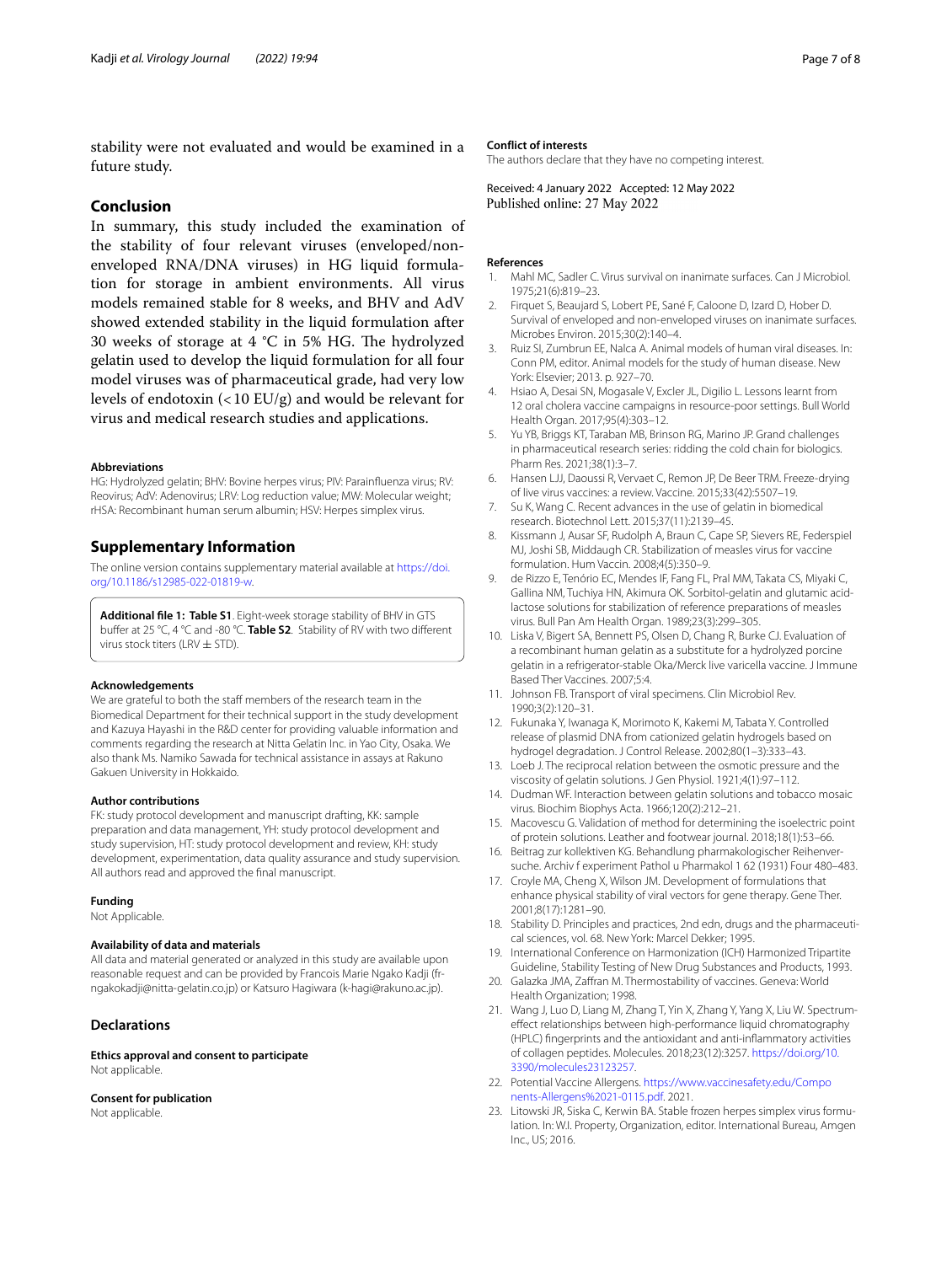stability were not evaluated and would be examined in a future study.

## **Conclusion**

In summary, this study included the examination of the stability of four relevant viruses (enveloped/nonenveloped RNA/DNA viruses) in HG liquid formulation for storage in ambient environments. All virus models remained stable for 8 weeks, and BHV and AdV showed extended stability in the liquid formulation after 30 weeks of storage at 4  $^{\circ}$ C in 5% HG. The hydrolyzed gelatin used to develop the liquid formulation for all four model viruses was of pharmaceutical grade, had very low levels of endotoxin (<10 EU/g) and would be relevant for virus and medical research studies and applications.

#### **Abbreviations**

HG: Hydrolyzed gelatin; BHV: Bovine herpes virus; PIV: Parainfuenza virus; RV: Reovirus; AdV: Adenovirus; LRV: Log reduction value; MW: Molecular weight; rHSA: Recombinant human serum albumin; HSV: Herpes simplex virus.

## **Supplementary Information**

The online version contains supplementary material available at [https://doi.](https://doi.org/10.1186/s12985-022-01819-w) [org/10.1186/s12985-022-01819-w.](https://doi.org/10.1186/s12985-022-01819-w)

<span id="page-6-21"></span>**Additional fle 1: Table S1**. Eight-week storage stability of BHV in GTS bufer at 25 °C, 4 °C and -80 °C. **Table S2**. Stability of RV with two diferent virus stock titers (LRV  $\pm$  STD).

#### **Acknowledgements**

We are grateful to both the staff members of the research team in the Biomedical Department for their technical support in the study development and Kazuya Hayashi in the R&D center for providing valuable information and comments regarding the research at Nitta Gelatin Inc. in Yao City, Osaka. We also thank Ms. Namiko Sawada for technical assistance in assays at Rakuno Gakuen University in Hokkaido.

#### **Author contributions**

FK: study protocol development and manuscript drafting, KK: sample preparation and data management, YH: study protocol development and study supervision, HT: study protocol development and review, KH: study development, experimentation, data quality assurance and study supervision. All authors read and approved the fnal manuscript.

#### **Funding**

Not Applicable.

#### **Availability of data and materials**

All data and material generated or analyzed in this study are available upon reasonable request and can be provided by Francois Marie Ngako Kadji (frngakokadji@nitta-gelatin.co.jp) or Katsuro Hagiwara (k-hagi@rakuno.ac.jp).

#### **Declarations**

**Ethics approval and consent to participate** Not applicable.

#### **Consent for publication**

Not applicable.

#### **Conflict of interests**

The authors declare that they have no competing interest.

Received: 4 January 2022 Accepted: 12 May 2022<br>Published online: 27 May 2022

## **References**

- <span id="page-6-0"></span>Mahl MC, Sadler C. Virus survival on inanimate surfaces. Can J Microbiol 1975;21(6):819–23.
- <span id="page-6-1"></span>2. Firquet S, Beaujard S, Lobert PE, Sané F, Caloone D, Izard D, Hober D. Survival of enveloped and non-enveloped viruses on inanimate surfaces. Microbes Environ. 2015;30(2):140–4.
- <span id="page-6-2"></span>3. Ruiz SI, Zumbrun EE, Nalca A. Animal models of human viral diseases. In: Conn PM, editor. Animal models for the study of human disease. New York: Elsevier; 2013. p. 927–70.
- <span id="page-6-3"></span>4. Hsiao A, Desai SN, Mogasale V, Excler JL, Digilio L. Lessons learnt from 12 oral cholera vaccine campaigns in resource-poor settings. Bull World Health Organ. 2017;95(4):303–12.
- <span id="page-6-4"></span>5. Yu YB, Briggs KT, Taraban MB, Brinson RG, Marino JP. Grand challenges in pharmaceutical research series: ridding the cold chain for biologics. Pharm Res. 2021;38(1):3–7.
- <span id="page-6-5"></span>6. Hansen LJJ, Daoussi R, Vervaet C, Remon JP, De Beer TRM. Freeze-drying of live virus vaccines: a review. Vaccine. 2015;33(42):5507–19.
- <span id="page-6-6"></span>7. Su K, Wang C. Recent advances in the use of gelatin in biomedical research. Biotechnol Lett. 2015;37(11):2139–45.
- <span id="page-6-7"></span>8. Kissmann J, Ausar SF, Rudolph A, Braun C, Cape SP, Sievers RE, Federspiel MJ, Joshi SB, Middaugh CR. Stabilization of measles virus for vaccine formulation. Hum Vaccin. 2008;4(5):350–9.
- <span id="page-6-8"></span>9. de Rizzo E, Tenório EC, Mendes IF, Fang FL, Pral MM, Takata CS, Miyaki C, Gallina NM, Tuchiya HN, Akimura OK. Sorbitol-gelatin and glutamic acidlactose solutions for stabilization of reference preparations of measles virus. Bull Pan Am Health Organ. 1989;23(3):299–305.
- <span id="page-6-9"></span>10. Liska V, Bigert SA, Bennett PS, Olsen D, Chang R, Burke CJ. Evaluation of a recombinant human gelatin as a substitute for a hydrolyzed porcine gelatin in a refrigerator-stable Oka/Merck live varicella vaccine. J Immune Based Ther Vaccines. 2007;5:4.
- <span id="page-6-10"></span>11. Johnson FB. Transport of viral specimens. Clin Microbiol Rev. 1990;3(2):120–31.
- <span id="page-6-11"></span>12. Fukunaka Y, Iwanaga K, Morimoto K, Kakemi M, Tabata Y. Controlled release of plasmid DNA from cationized gelatin hydrogels based on hydrogel degradation. J Control Release. 2002;80(1–3):333–43.
- <span id="page-6-12"></span>13. Loeb J. The reciprocal relation between the osmotic pressure and the viscosity of gelatin solutions. J Gen Physiol. 1921;4(1):97–112.
- <span id="page-6-13"></span>14. Dudman WF. Interaction between gelatin solutions and tobacco mosaic virus. Biochim Biophys Acta. 1966;120(2):212–21.
- <span id="page-6-14"></span>15. Macovescu G. Validation of method for determining the isoelectric point of protein solutions. Leather and footwear journal. 2018;18(1):53–66.
- <span id="page-6-15"></span>16. Beitrag zur kollektiven KG. Behandlung pharmakologischer Reihenversuche. Archiv f experiment Pathol u Pharmakol 1 62 (1931) Four 480–483.
- <span id="page-6-16"></span>17. Croyle MA, Cheng X, Wilson JM. Development of formulations that enhance physical stability of viral vectors for gene therapy. Gene Ther. 2001;8(17):1281–90.
- 18. Stability D. Principles and practices, 2nd edn, drugs and the pharmaceutical sciences, vol. 68. New York: Marcel Dekker; 1995.
- 19. International Conference on Harmonization (ICH) Harmonized Tripartite Guideline, Stability Testing of New Drug Substances and Products, 1993.
- <span id="page-6-17"></span>20. Galazka JMA, Zafran M. Thermostability of vaccines. Geneva: World Health Organization; 1998.
- <span id="page-6-18"></span>21. Wang J, Luo D, Liang M, Zhang T, Yin X, Zhang Y, Yang X, Liu W. Spectrumefect relationships between high-performance liquid chromatography (HPLC) fngerprints and the antioxidant and anti-infammatory activities of collagen peptides. Molecules. 2018;23(12):3257. [https://doi.org/10.](https://doi.org/10.3390/molecules23123257) [3390/molecules23123257.](https://doi.org/10.3390/molecules23123257)
- <span id="page-6-19"></span>22. Potential Vaccine Allergens. [https://www.vaccinesafety.edu/Compo](https://www.vaccinesafety.edu/Components-Allergens%2021-0115.pdf) [nents-Allergens%2021-0115.pdf.](https://www.vaccinesafety.edu/Components-Allergens%2021-0115.pdf) 2021.
- <span id="page-6-20"></span>23. Litowski JR, Siska C, Kerwin BA. Stable frozen herpes simplex virus formulation. In: W.I. Property, Organization, editor. International Bureau, Amgen Inc., US; 2016.